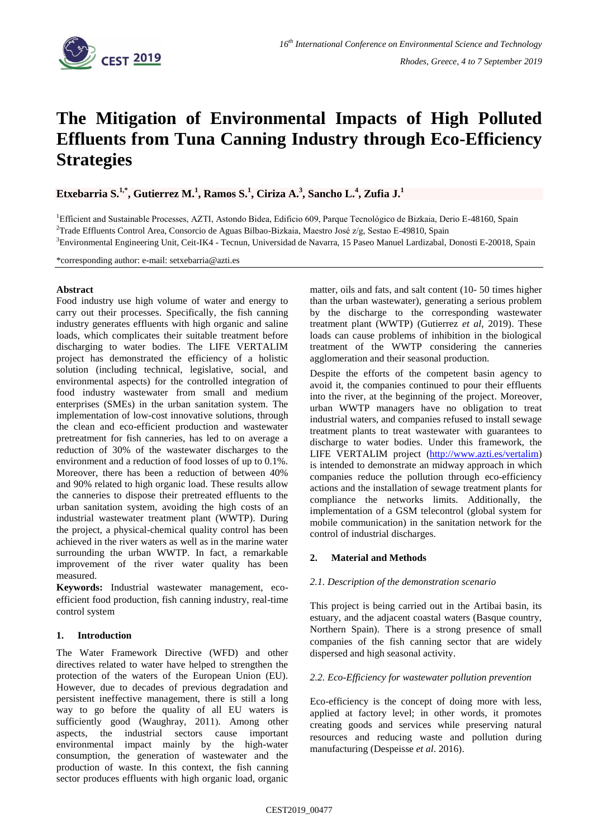

# **The Mitigation of Environmental Impacts of High Polluted Effluents from Tuna Canning Industry through Eco-Efficiency Strategies**

 $\mathbf{E}$ txebarria S. $^{1,*}$ , Gutierrez M. $^{1}$ , Ramos S. $^{1}$ , Ciriza A. $^{3}$ , Sancho L. $^{4}$ , Zufia J. $^{1}$ 

<sup>1</sup>Efficient and Sustainable Processes, AZTI, Astondo Bidea, Edificio 609, Parque Tecnológico de Bizkaia, Derio E-48160, Spain <sup>2</sup>Trade Effluents Control Area, Consorcio de Aguas Bilbao-Bizkaia, Maestro José z/g, Sestao E-49810, Spain <sup>3</sup>Environmental Engineering Unit, Ceit-IK4 - Tecnun, Universidad de Navarra, 15 Paseo Manuel Lardizabal, Donosti E-20018, Spain

\*corresponding author: e-mail: setxebarria@azti.es

### **Abstract**

Food industry use high volume of water and energy to carry out their processes. Specifically, the fish canning industry generates effluents with high organic and saline loads, which complicates their suitable treatment before discharging to water bodies. The LIFE VERTALIM project has demonstrated the efficiency of a holistic solution (including technical, legislative, social, and environmental aspects) for the controlled integration of food industry wastewater from small and medium enterprises (SMEs) in the urban sanitation system. The implementation of low-cost innovative solutions, through the clean and eco-efficient production and wastewater pretreatment for fish canneries, has led to on average a reduction of 30% of the wastewater discharges to the environment and a reduction of food losses of up to 0.1%. Moreover, there has been a reduction of between 40% and 90% related to high organic load. These results allow the canneries to dispose their pretreated effluents to the urban sanitation system, avoiding the high costs of an industrial wastewater treatment plant (WWTP). During the project, a physical-chemical quality control has been achieved in the river waters as well as in the marine water surrounding the urban WWTP. In fact, a remarkable improvement of the river water quality has been measured.

**Keywords:** Industrial wastewater management, ecoefficient food production, fish canning industry, real-time control system

# **1. Introduction**

The Water Framework Directive (WFD) and other directives related to water have helped to strengthen the protection of the waters of the European Union (EU). However, due to decades of previous degradation and persistent ineffective management, there is still a long way to go before the quality of all EU waters is sufficiently good (Waughray, 2011). Among other aspects, the industrial sectors cause important environmental impact mainly by the high-water consumption, the generation of wastewater and the production of waste. In this context, the fish canning sector produces effluents with high organic load, organic

matter, oils and fats, and salt content (10- 50 times higher than the urban wastewater), generating a serious problem by the discharge to the corresponding wastewater treatment plant (WWTP) (Gutierrez *et al*, 2019). These loads can cause problems of inhibition in the biological treatment of the WWTP considering the canneries agglomeration and their seasonal production.

Despite the efforts of the competent basin agency to avoid it, the companies continued to pour their effluents into the river, at the beginning of the project. Moreover, urban WWTP managers have no obligation to treat industrial waters, and companies refused to install sewage treatment plants to treat wastewater with guarantees to discharge to water bodies. Under this framework, the LIFE VERTALIM project [\(http://www.azti.es/vertalim\)](http://www.azti.es/vertalim) is intended to demonstrate an midway approach in which companies reduce the pollution through eco-efficiency actions and the installation of sewage treatment plants for compliance the networks limits. Additionally, the implementation of a GSM telecontrol (global system for mobile communication) in the sanitation network for the control of industrial discharges.

# **2. Material and Methods**

#### *2.1. Description of the demonstration scenario*

This project is being carried out in the Artibai basin, its estuary, and the adjacent coastal waters (Basque country, Northern Spain). There is a strong presence of small companies of the fish canning sector that are widely dispersed and high seasonal activity.

#### *2.2. Eco-Efficiency for wastewater pollution prevention*

Eco-efficiency is the concept of doing more with less, applied at factory level; in other words, it promotes creating goods and services while preserving natural resources and reducing waste and pollution during manufacturing (Despeisse *et al*. 2016).